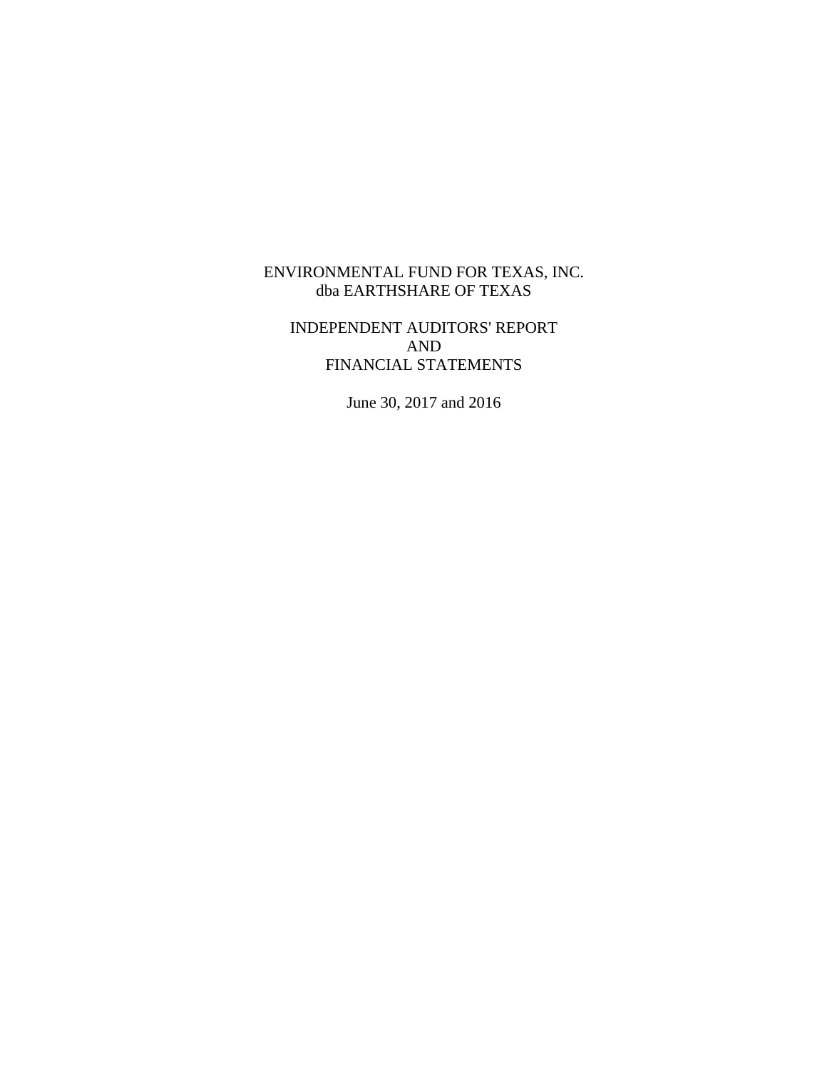# INDEPENDENT AUDITORS' REPORT AND FINANCIAL STATEMENTS

June 30, 2017 and 2016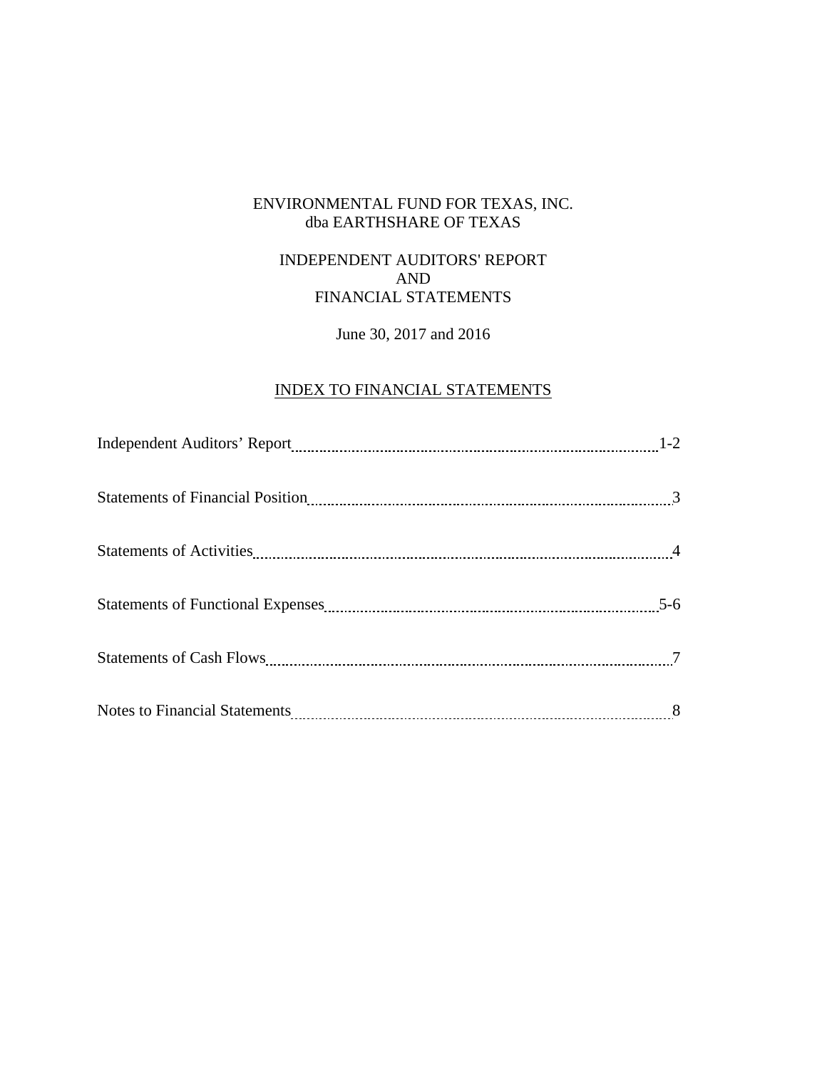## INDEPENDENT AUDITORS' REPORT AND FINANCIAL STATEMENTS

# June 30, 2017 and 2016

# INDEX TO FINANCIAL STATEMENTS

|                                                                                                                                                                                                                                | $1 - 2$ |
|--------------------------------------------------------------------------------------------------------------------------------------------------------------------------------------------------------------------------------|---------|
| Statements of Financial Position 2000 and 2000 and 3000 and 3000 and 3000 and 3000 and 3000 and 3000 and 3000 and 3000 and 3000 and 3000 and 3000 and 3000 and 3000 and 3000 and 3000 and 3000 and 3000 and 3000 and 3000 and  |         |
| Statements of Activities 14 Activities 2012 14 Activities 2013 14 Activities 2013 14 Activities 2013 14 Activities 2013 14 Activities 2013 14 Activities 2013 14 Activities 2013 14 Activities 2013 14 Activities 2013 14 Acti |         |
|                                                                                                                                                                                                                                | $5-6$   |
|                                                                                                                                                                                                                                |         |
|                                                                                                                                                                                                                                |         |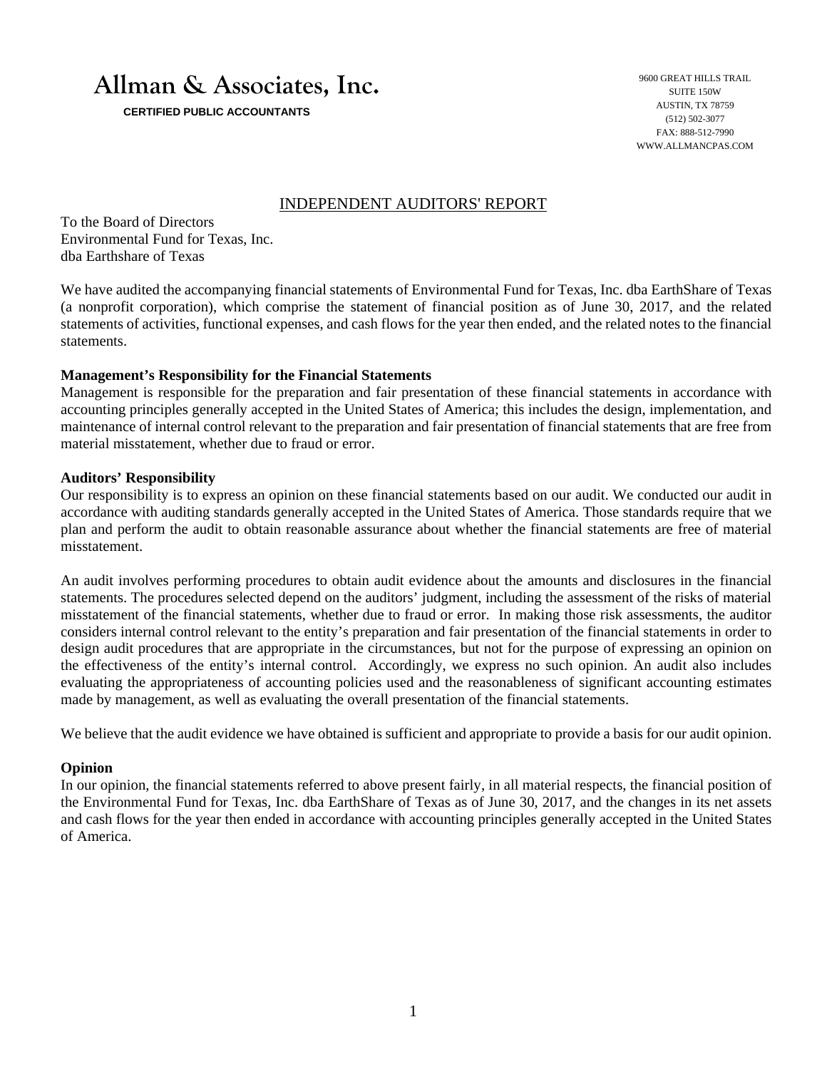# **Allman & Associates, Inc.**

 **CERTIFIED PUBLIC ACCOUNTANTS** 

9600 GREAT HILLS TRAIL SUITE 150W AUSTIN, TX 78759 (512) 502-3077 FAX: 888-512-7990 WWW.ALLMANCPAS.COM

#### INDEPENDENT AUDITORS' REPORT

To the Board of Directors Environmental Fund for Texas, Inc. dba Earthshare of Texas

We have audited the accompanying financial statements of Environmental Fund for Texas, Inc. dba EarthShare of Texas (a nonprofit corporation), which comprise the statement of financial position as of June 30, 2017, and the related statements of activities, functional expenses, and cash flows for the year then ended, and the related notes to the financial statements.

#### **Management's Responsibility for the Financial Statements**

Management is responsible for the preparation and fair presentation of these financial statements in accordance with accounting principles generally accepted in the United States of America; this includes the design, implementation, and maintenance of internal control relevant to the preparation and fair presentation of financial statements that are free from material misstatement, whether due to fraud or error.

#### **Auditors' Responsibility**

Our responsibility is to express an opinion on these financial statements based on our audit. We conducted our audit in accordance with auditing standards generally accepted in the United States of America. Those standards require that we plan and perform the audit to obtain reasonable assurance about whether the financial statements are free of material misstatement.

An audit involves performing procedures to obtain audit evidence about the amounts and disclosures in the financial statements. The procedures selected depend on the auditors' judgment, including the assessment of the risks of material misstatement of the financial statements, whether due to fraud or error. In making those risk assessments, the auditor considers internal control relevant to the entity's preparation and fair presentation of the financial statements in order to design audit procedures that are appropriate in the circumstances, but not for the purpose of expressing an opinion on the effectiveness of the entity's internal control. Accordingly, we express no such opinion. An audit also includes evaluating the appropriateness of accounting policies used and the reasonableness of significant accounting estimates made by management, as well as evaluating the overall presentation of the financial statements.

We believe that the audit evidence we have obtained is sufficient and appropriate to provide a basis for our audit opinion.

#### **Opinion**

In our opinion, the financial statements referred to above present fairly, in all material respects, the financial position of the Environmental Fund for Texas, Inc. dba EarthShare of Texas as of June 30, 2017, and the changes in its net assets and cash flows for the year then ended in accordance with accounting principles generally accepted in the United States of America.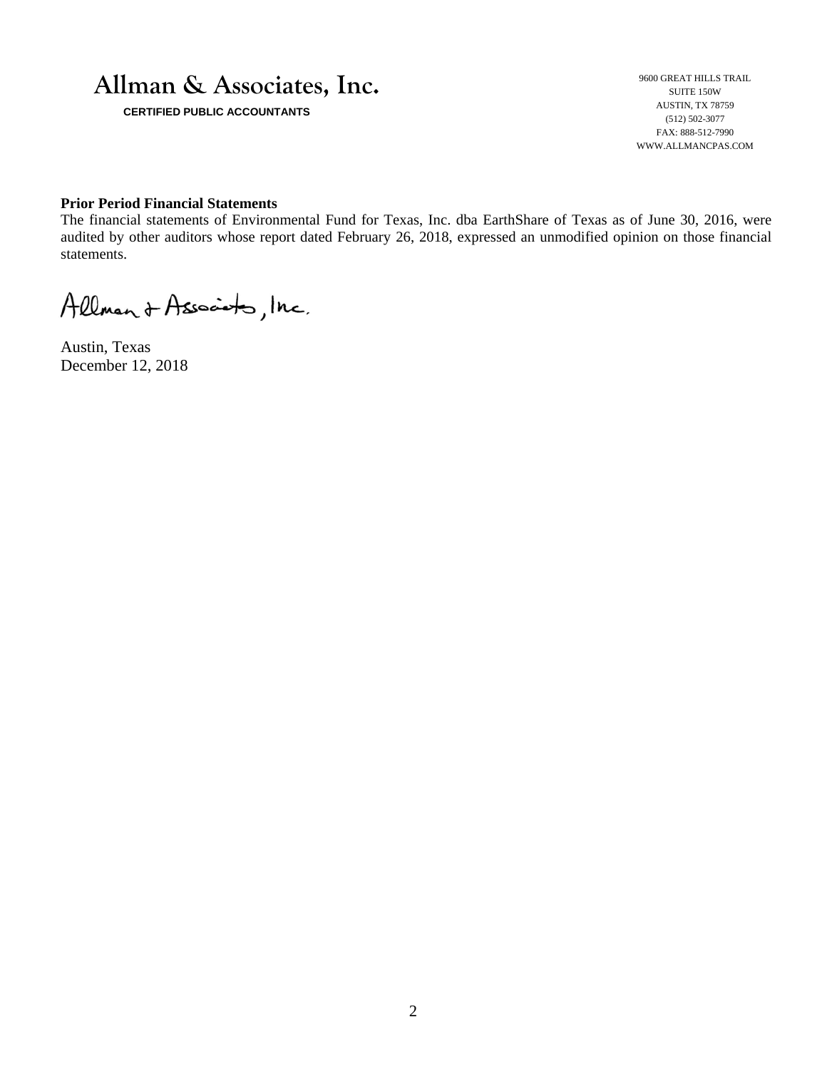

 **CERTIFIED PUBLIC ACCOUNTANTS** 

9600 GREAT HILLS TRAIL SUITE 150W AUSTIN, TX 78759 (512) 502-3077 FAX: 888-512-7990 WWW.ALLMANCPAS.COM

#### **Prior Period Financial Statements**

The financial statements of Environmental Fund for Texas, Inc. dba EarthShare of Texas as of June 30, 2016, were audited by other auditors whose report dated February 26, 2018, expressed an unmodified opinion on those financial statements.

Allman & Associato, Inc.

Austin, Texas December 12, 2018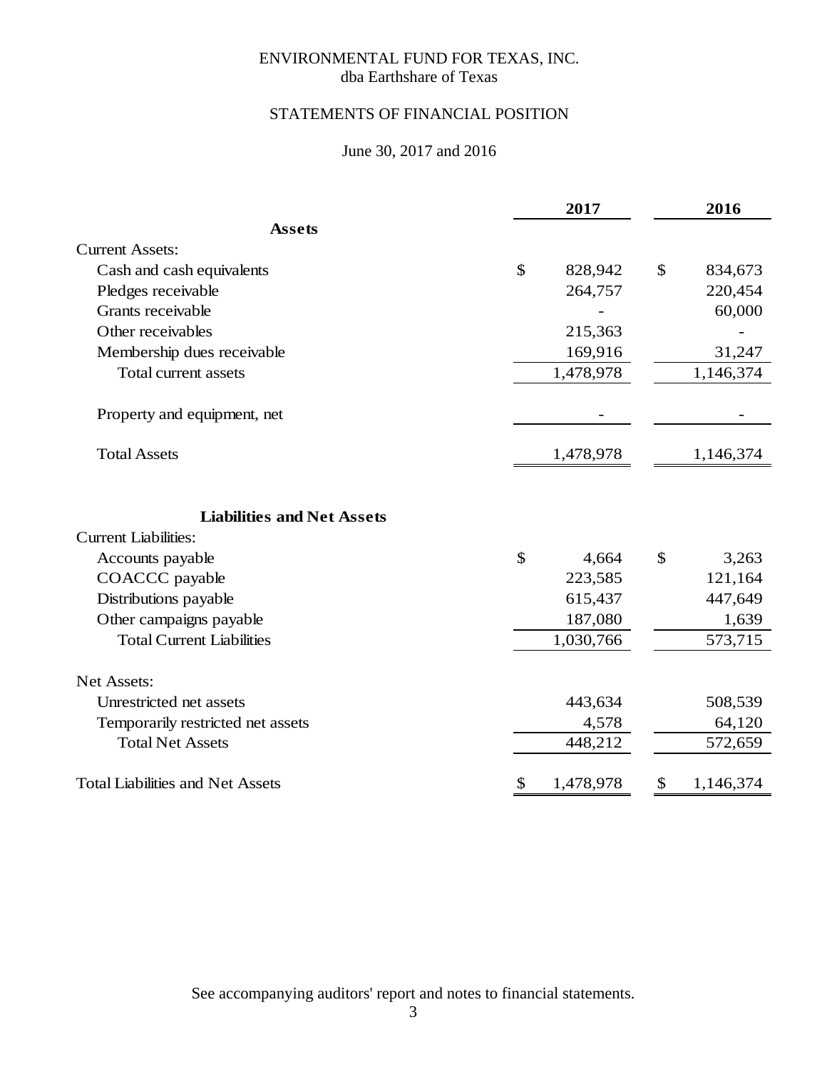## ENVIRONMENTAL FUND FOR TEXAS, INC. dba Earthshare of Texas

# STATEMENTS OF FINANCIAL POSITION

# June 30, 2017 and 2016

|                                                                  |           | 2017      |               | 2016      |
|------------------------------------------------------------------|-----------|-----------|---------------|-----------|
| <b>Assets</b>                                                    |           |           |               |           |
| <b>Current Assets:</b>                                           |           |           |               |           |
| Cash and cash equivalents                                        | \$        | 828,942   | \$            | 834,673   |
| Pledges receivable                                               |           | 264,757   |               | 220,454   |
| Grants receivable                                                |           |           |               | 60,000    |
| Other receivables                                                |           | 215,363   |               |           |
| Membership dues receivable                                       |           | 169,916   |               | 31,247    |
| <b>Total current assets</b>                                      | 1,478,978 |           |               | 1,146,374 |
| Property and equipment, net                                      |           |           |               |           |
| <b>Total Assets</b>                                              |           | 1,478,978 |               | 1,146,374 |
| <b>Liabilities and Net Assets</b><br><b>Current Liabilities:</b> |           |           |               |           |
| Accounts payable                                                 | \$        | 4,664     | $\mathcal{S}$ | 3,263     |
| COACCC payable                                                   |           | 223,585   |               | 121,164   |
| Distributions payable                                            |           | 615,437   |               | 447,649   |
| Other campaigns payable                                          |           | 187,080   |               | 1,639     |
| <b>Total Current Liabilities</b>                                 |           | 1,030,766 |               | 573,715   |
| Net Assets:                                                      |           |           |               |           |
| Unrestricted net assets                                          |           | 443,634   |               | 508,539   |
| Temporarily restricted net assets                                |           | 4,578     |               | 64,120    |
| <b>Total Net Assets</b>                                          |           | 448,212   |               | 572,659   |
| <b>Total Liabilities and Net Assets</b>                          | \$        | 1,478,978 | \$            | 1,146,374 |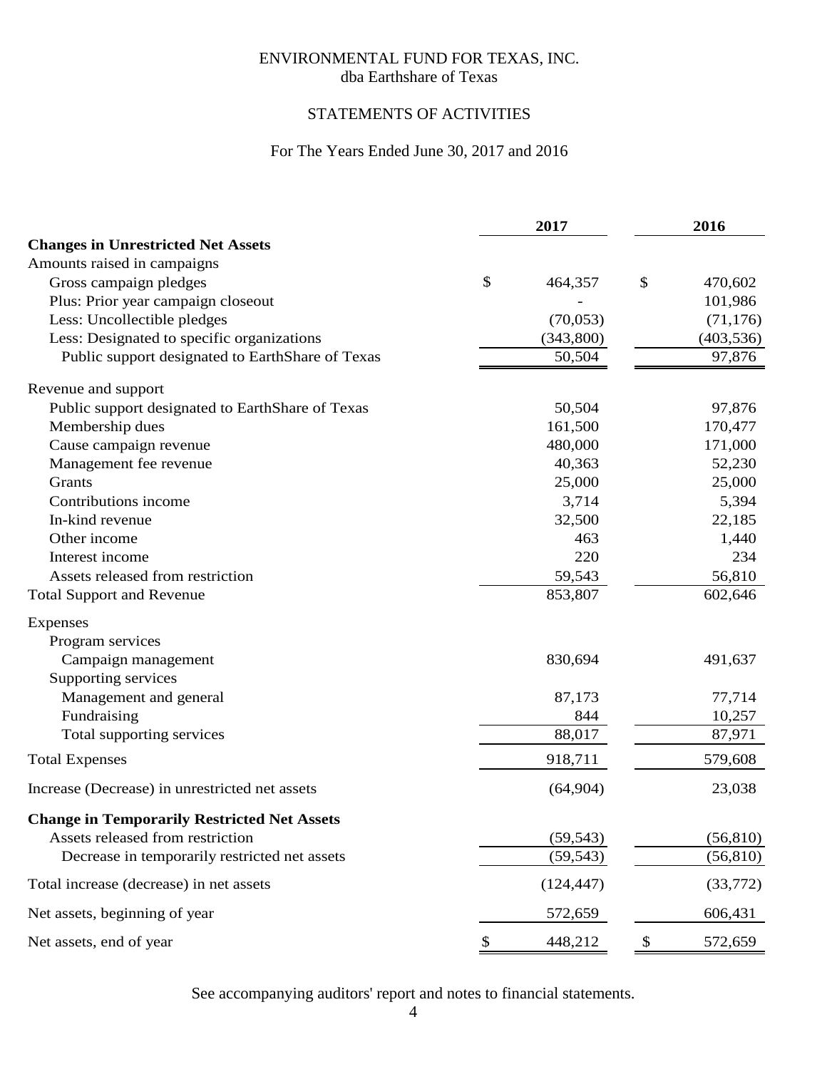## ENVIRONMENTAL FUND FOR TEXAS, INC. dba Earthshare of Texas

# STATEMENTS OF ACTIVITIES

# For The Years Ended June 30, 2017 and 2016

|                                                    | 2017 |            | 2016 |            |
|----------------------------------------------------|------|------------|------|------------|
| <b>Changes in Unrestricted Net Assets</b>          |      |            |      |            |
| Amounts raised in campaigns                        |      |            |      |            |
| Gross campaign pledges                             | \$   | 464,357    | \$   | 470,602    |
| Plus: Prior year campaign closeout                 |      |            |      | 101,986    |
| Less: Uncollectible pledges                        |      | (70,053)   |      | (71, 176)  |
| Less: Designated to specific organizations         |      | (343,800)  |      | (403, 536) |
| Public support designated to EarthShare of Texas   |      | 50,504     |      | 97,876     |
| Revenue and support                                |      |            |      |            |
| Public support designated to EarthShare of Texas   |      | 50,504     |      | 97,876     |
| Membership dues                                    |      | 161,500    |      | 170,477    |
| Cause campaign revenue                             |      | 480,000    |      | 171,000    |
| Management fee revenue                             |      | 40,363     |      | 52,230     |
| Grants                                             |      | 25,000     |      | 25,000     |
| Contributions income                               |      | 3,714      |      | 5,394      |
| In-kind revenue                                    |      | 32,500     |      | 22,185     |
| Other income                                       |      | 463        |      | 1,440      |
| Interest income                                    |      | 220        |      | 234        |
| Assets released from restriction                   |      | 59,543     |      | 56,810     |
| <b>Total Support and Revenue</b>                   |      | 853,807    |      | 602,646    |
| Expenses                                           |      |            |      |            |
| Program services                                   |      |            |      |            |
| Campaign management                                |      | 830,694    |      | 491,637    |
| Supporting services                                |      |            |      |            |
| Management and general                             |      | 87,173     |      | 77,714     |
| Fundraising                                        |      | 844        |      | 10,257     |
| Total supporting services                          |      | 88,017     |      | 87,971     |
| <b>Total Expenses</b>                              |      | 918,711    |      | 579,608    |
| Increase (Decrease) in unrestricted net assets     |      | (64,904)   |      | 23,038     |
| <b>Change in Temporarily Restricted Net Assets</b> |      |            |      |            |
| Assets released from restriction                   |      | (59, 543)  |      | (56, 810)  |
| Decrease in temporarily restricted net assets      |      | (59, 543)  |      | (56, 810)  |
| Total increase (decrease) in net assets            |      | (124, 447) |      | (33, 772)  |
| Net assets, beginning of year                      |      | 572,659    |      | 606,431    |
| Net assets, end of year                            | \$   | 448,212    | \$   | 572,659    |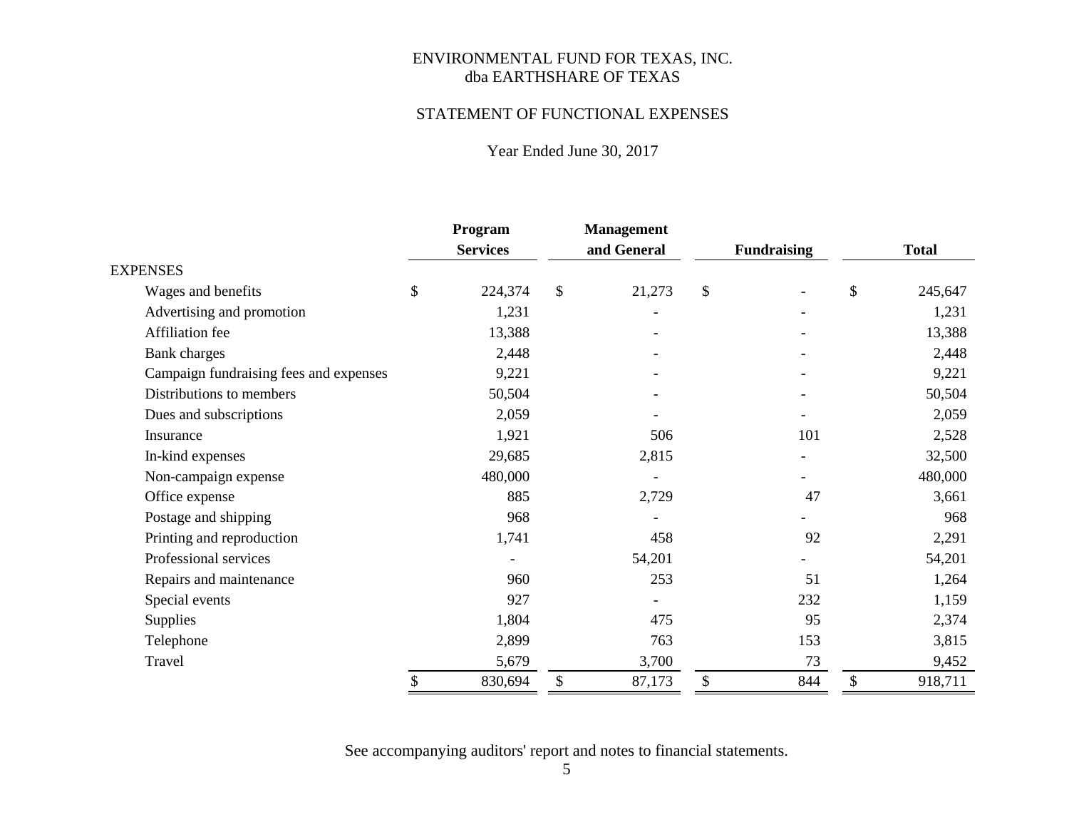#### STATEMENT OF FUNCTIONAL EXPENSES

# Year Ended June 30, 2017

|                                        | Program         |               | <b>Management</b>        |                    |               |
|----------------------------------------|-----------------|---------------|--------------------------|--------------------|---------------|
|                                        | <b>Services</b> |               | and General              | <b>Fundraising</b> | <b>Total</b>  |
| <b>EXPENSES</b>                        |                 |               |                          |                    |               |
| Wages and benefits                     | \$<br>224,374   | $\mathsf{\$}$ | 21,273                   | \$                 | \$<br>245,647 |
| Advertising and promotion              | 1,231           |               | $\overline{\phantom{a}}$ |                    | 1,231         |
| Affiliation fee                        | 13,388          |               |                          |                    | 13,388        |
| Bank charges                           | 2,448           |               |                          |                    | 2,448         |
| Campaign fundraising fees and expenses | 9,221           |               |                          |                    | 9,221         |
| Distributions to members               | 50,504          |               |                          |                    | 50,504        |
| Dues and subscriptions                 | 2,059           |               |                          |                    | 2,059         |
| Insurance                              | 1,921           |               | 506                      | 101                | 2,528         |
| In-kind expenses                       | 29,685          |               | 2,815                    |                    | 32,500        |
| Non-campaign expense                   | 480,000         |               |                          |                    | 480,000       |
| Office expense                         | 885             |               | 2,729                    | 47                 | 3,661         |
| Postage and shipping                   | 968             |               |                          |                    | 968           |
| Printing and reproduction              | 1,741           |               | 458                      | 92                 | 2,291         |
| Professional services                  |                 |               | 54,201                   |                    | 54,201        |
| Repairs and maintenance                | 960             |               | 253                      | 51                 | 1,264         |
| Special events                         | 927             |               |                          | 232                | 1,159         |
| Supplies                               | 1,804           |               | 475                      | 95                 | 2,374         |
| Telephone                              | 2,899           |               | 763                      | 153                | 3,815         |
| Travel                                 | 5,679           |               | 3,700                    | 73                 | 9,452         |
|                                        | \$<br>830,694   | \$            | 87,173                   | \$<br>844          | \$<br>918,711 |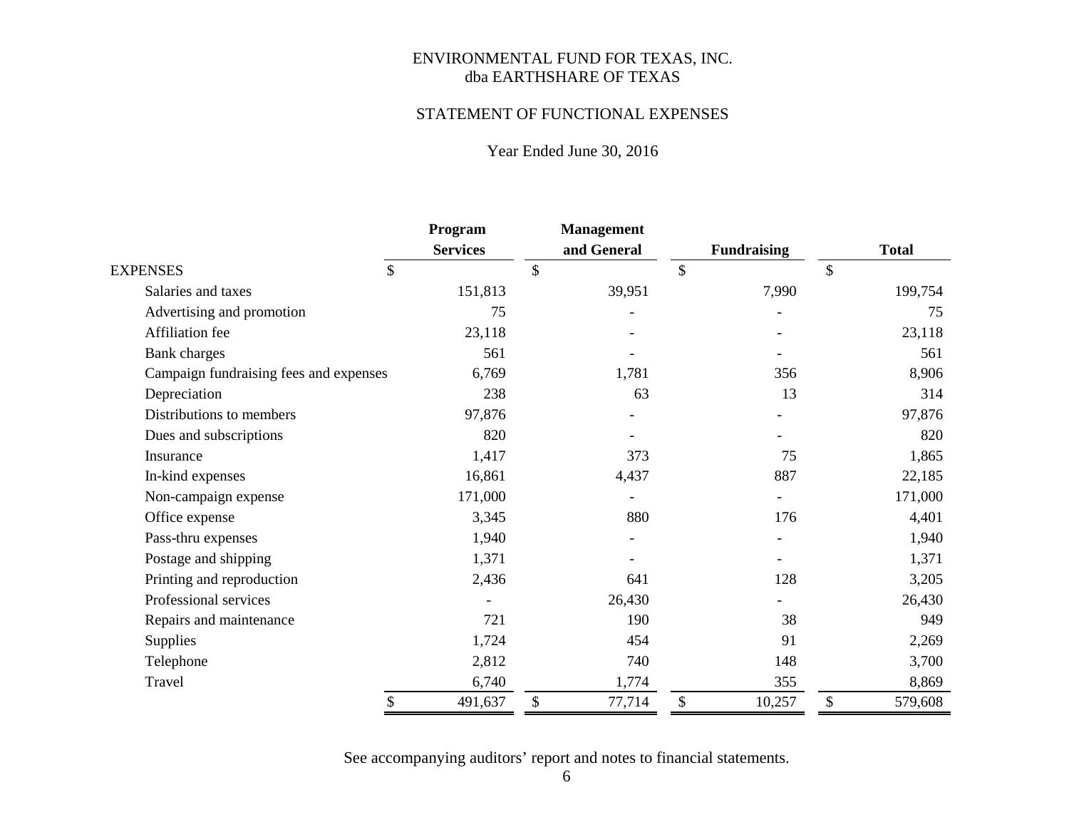#### STATEMENT OF FUNCTIONAL EXPENSES

# Year Ended June 30, 2016

|                                        | Program         | Management   |                    |               |
|----------------------------------------|-----------------|--------------|--------------------|---------------|
|                                        | <b>Services</b> | and General  | <b>Fundraising</b> | <b>Total</b>  |
| \$<br><b>EXPENSES</b>                  |                 | \$           | $\mathcal{S}$      | $\mathcal{S}$ |
| Salaries and taxes                     | 151,813         | 39,951       | 7,990              | 199,754       |
| Advertising and promotion              | 75              |              |                    | 75            |
| Affiliation fee                        | 23,118          |              |                    | 23,118        |
| <b>Bank</b> charges                    | 561             |              |                    | 561           |
| Campaign fundraising fees and expenses | 6,769           | 1,781        | 356                | 8,906         |
| Depreciation                           | 238             | 63           | 13                 | 314           |
| Distributions to members               | 97,876          |              |                    | 97,876        |
| Dues and subscriptions                 | 820             |              |                    | 820           |
| Insurance                              | 1,417           | 373          | 75                 | 1,865         |
| In-kind expenses                       | 16,861          | 4,437        | 887                | 22,185        |
| Non-campaign expense                   | 171,000         |              |                    | 171,000       |
| Office expense                         | 3,345           | 880          | 176                | 4,401         |
| Pass-thru expenses                     | 1,940           |              |                    | 1,940         |
| Postage and shipping                   | 1,371           |              |                    | 1,371         |
| Printing and reproduction              | 2,436           | 641          | 128                | 3,205         |
| Professional services                  |                 | 26,430       |                    | 26,430        |
| Repairs and maintenance                | 721             | 190          | 38                 | 949           |
| <b>Supplies</b>                        | 1,724           | 454          | 91                 | 2,269         |
| Telephone                              | 2,812           | 740          | 148                | 3,700         |
| Travel                                 | 6,740           | 1,774        | 355                | 8,869         |
| \$                                     | 491,637         | \$<br>77,714 | \$<br>10,257       | \$<br>579,608 |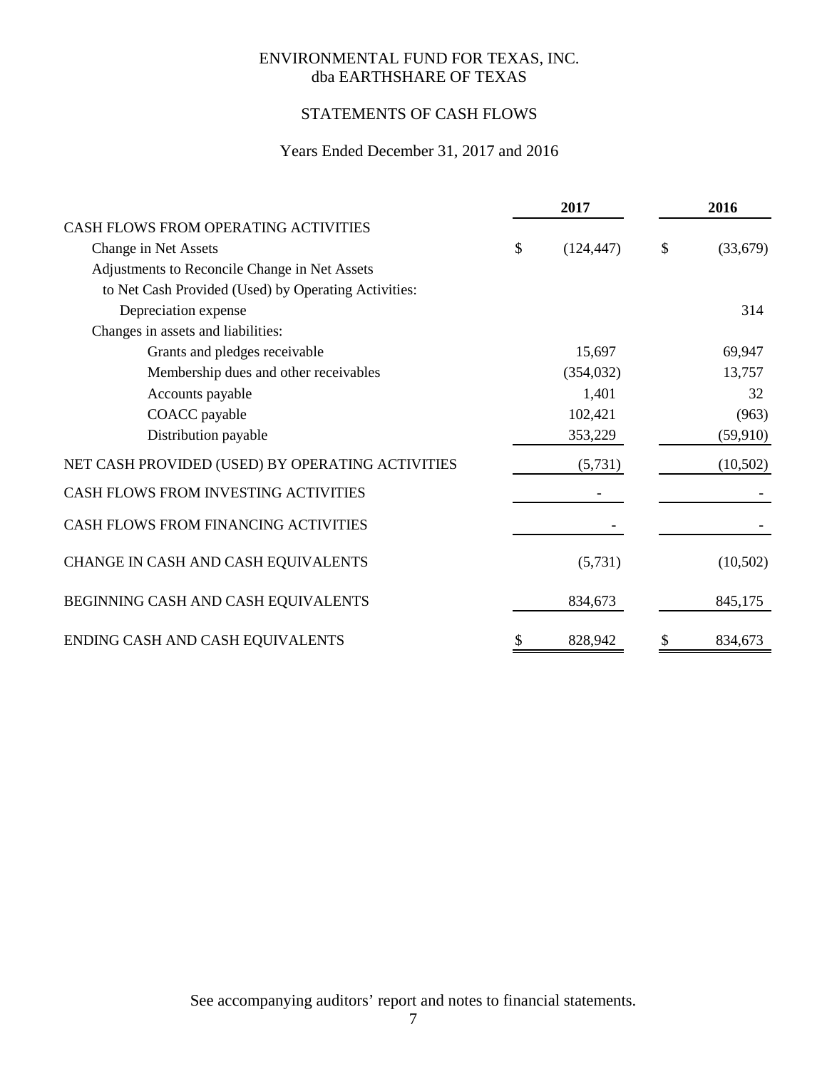# STATEMENTS OF CASH FLOWS

# Years Ended December 31, 2017 and 2016

|                                                      | 2017             | 2016           |
|------------------------------------------------------|------------------|----------------|
| CASH FLOWS FROM OPERATING ACTIVITIES                 |                  |                |
| Change in Net Assets                                 | \$<br>(124, 447) | \$<br>(33,679) |
| Adjustments to Reconcile Change in Net Assets        |                  |                |
| to Net Cash Provided (Used) by Operating Activities: |                  |                |
| Depreciation expense                                 |                  | 314            |
| Changes in assets and liabilities:                   |                  |                |
| Grants and pledges receivable                        | 15,697           | 69,947         |
| Membership dues and other receivables                | (354, 032)       | 13,757         |
| Accounts payable                                     | 1,401            | 32             |
| COACC payable                                        | 102,421          | (963)          |
| Distribution payable                                 | 353,229          | (59, 910)      |
| NET CASH PROVIDED (USED) BY OPERATING ACTIVITIES     | (5,731)          | (10,502)       |
| CASH FLOWS FROM INVESTING ACTIVITIES                 |                  |                |
| CASH FLOWS FROM FINANCING ACTIVITIES                 |                  |                |
| CHANGE IN CASH AND CASH EQUIVALENTS                  | (5,731)          | (10,502)       |
| BEGINNING CASH AND CASH EQUIVALENTS                  | 834,673          | 845,175        |
| ENDING CASH AND CASH EQUIVALENTS                     | \$<br>828,942    | \$<br>834,673  |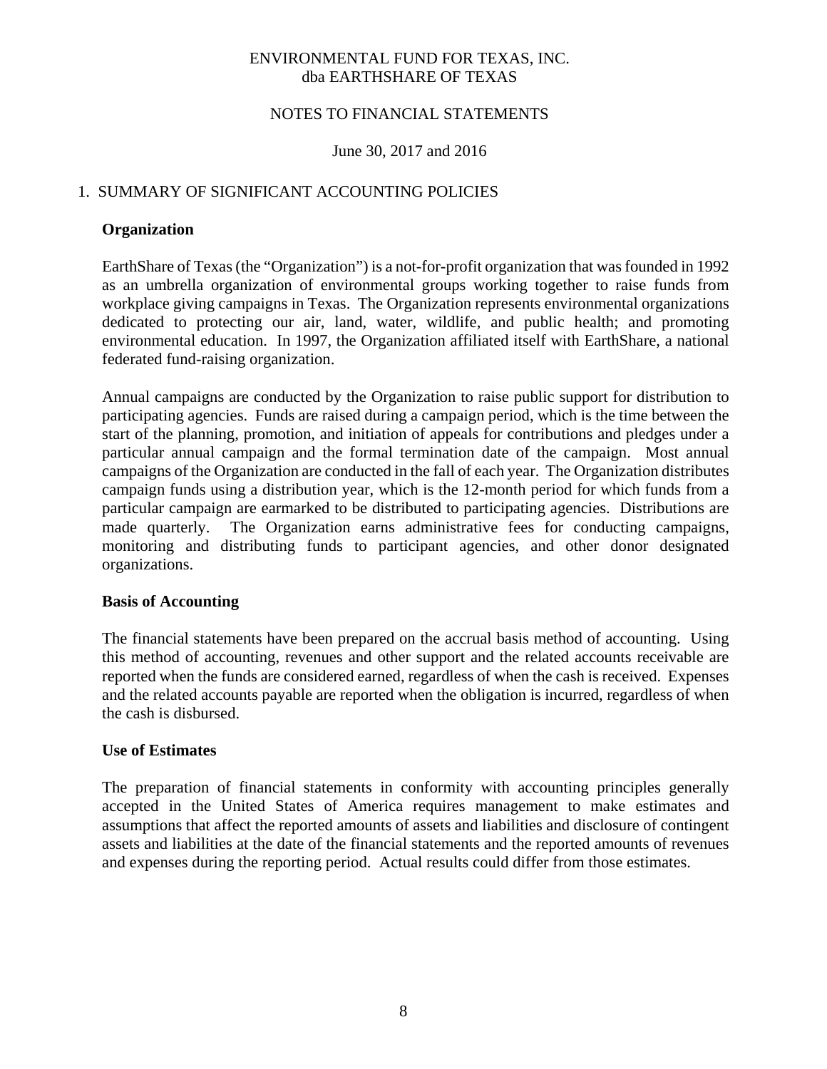#### NOTES TO FINANCIAL STATEMENTS

#### June 30, 2017 and 2016

## 1. SUMMARY OF SIGNIFICANT ACCOUNTING POLICIES

#### **Organization**

EarthShare of Texas (the "Organization") is a not-for-profit organization that was founded in 1992 as an umbrella organization of environmental groups working together to raise funds from workplace giving campaigns in Texas. The Organization represents environmental organizations dedicated to protecting our air, land, water, wildlife, and public health; and promoting environmental education. In 1997, the Organization affiliated itself with EarthShare, a national federated fund-raising organization.

Annual campaigns are conducted by the Organization to raise public support for distribution to participating agencies. Funds are raised during a campaign period, which is the time between the start of the planning, promotion, and initiation of appeals for contributions and pledges under a particular annual campaign and the formal termination date of the campaign. Most annual campaigns of the Organization are conducted in the fall of each year. The Organization distributes campaign funds using a distribution year, which is the 12-month period for which funds from a particular campaign are earmarked to be distributed to participating agencies. Distributions are made quarterly. The Organization earns administrative fees for conducting campaigns, monitoring and distributing funds to participant agencies, and other donor designated organizations.

#### **Basis of Accounting**

The financial statements have been prepared on the accrual basis method of accounting. Using this method of accounting, revenues and other support and the related accounts receivable are reported when the funds are considered earned, regardless of when the cash is received. Expenses and the related accounts payable are reported when the obligation is incurred, regardless of when the cash is disbursed.

#### **Use of Estimates**

The preparation of financial statements in conformity with accounting principles generally accepted in the United States of America requires management to make estimates and assumptions that affect the reported amounts of assets and liabilities and disclosure of contingent assets and liabilities at the date of the financial statements and the reported amounts of revenues and expenses during the reporting period. Actual results could differ from those estimates.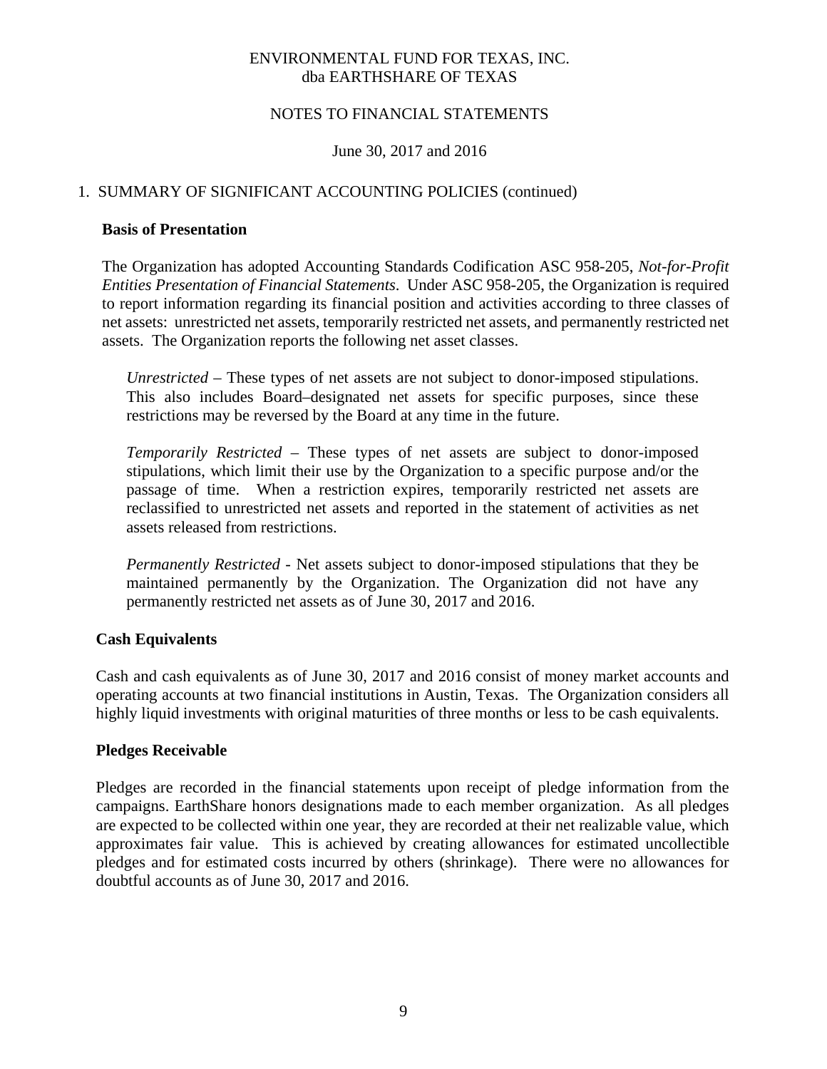#### NOTES TO FINANCIAL STATEMENTS

#### June 30, 2017 and 2016

#### 1. SUMMARY OF SIGNIFICANT ACCOUNTING POLICIES (continued)

#### **Basis of Presentation**

The Organization has adopted Accounting Standards Codification ASC 958-205, *Not-for-Profit Entities Presentation of Financial Statements*. Under ASC 958-205, the Organization is required to report information regarding its financial position and activities according to three classes of net assets: unrestricted net assets, temporarily restricted net assets, and permanently restricted net assets. The Organization reports the following net asset classes.

*Unrestricted –* These types of net assets are not subject to donor-imposed stipulations. This also includes Board–designated net assets for specific purposes, since these restrictions may be reversed by the Board at any time in the future.

*Temporarily Restricted –* These types of net assets are subject to donor-imposed stipulations, which limit their use by the Organization to a specific purpose and/or the passage of time. When a restriction expires, temporarily restricted net assets are reclassified to unrestricted net assets and reported in the statement of activities as net assets released from restrictions.

*Permanently Restricted -* Net assets subject to donor-imposed stipulations that they be maintained permanently by the Organization. The Organization did not have any permanently restricted net assets as of June 30, 2017 and 2016.

#### **Cash Equivalents**

Cash and cash equivalents as of June 30, 2017 and 2016 consist of money market accounts and operating accounts at two financial institutions in Austin, Texas. The Organization considers all highly liquid investments with original maturities of three months or less to be cash equivalents.

#### **Pledges Receivable**

Pledges are recorded in the financial statements upon receipt of pledge information from the campaigns. EarthShare honors designations made to each member organization. As all pledges are expected to be collected within one year, they are recorded at their net realizable value, which approximates fair value. This is achieved by creating allowances for estimated uncollectible pledges and for estimated costs incurred by others (shrinkage). There were no allowances for doubtful accounts as of June 30, 2017 and 2016.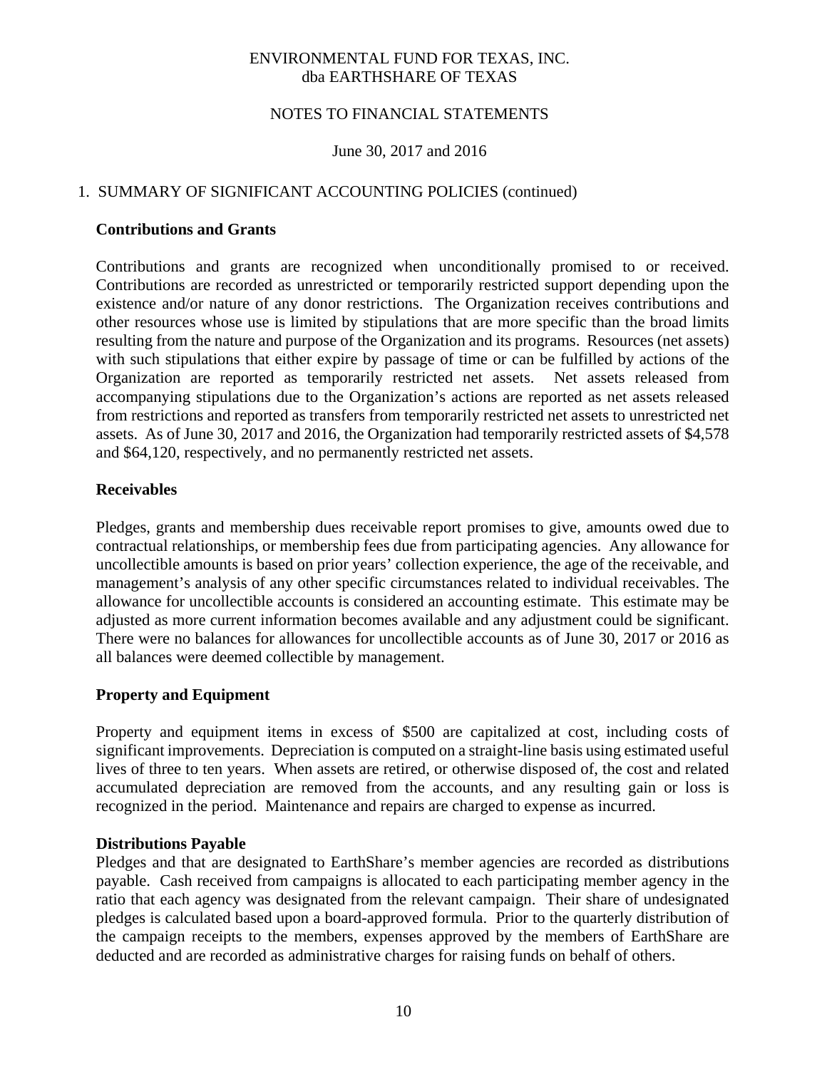#### NOTES TO FINANCIAL STATEMENTS

#### June 30, 2017 and 2016

## 1. SUMMARY OF SIGNIFICANT ACCOUNTING POLICIES (continued)

#### **Contributions and Grants**

Contributions and grants are recognized when unconditionally promised to or received. Contributions are recorded as unrestricted or temporarily restricted support depending upon the existence and/or nature of any donor restrictions. The Organization receives contributions and other resources whose use is limited by stipulations that are more specific than the broad limits resulting from the nature and purpose of the Organization and its programs. Resources (net assets) with such stipulations that either expire by passage of time or can be fulfilled by actions of the Organization are reported as temporarily restricted net assets. Net assets released from accompanying stipulations due to the Organization's actions are reported as net assets released from restrictions and reported as transfers from temporarily restricted net assets to unrestricted net assets. As of June 30, 2017 and 2016, the Organization had temporarily restricted assets of \$4,578 and \$64,120, respectively, and no permanently restricted net assets.

#### **Receivables**

Pledges, grants and membership dues receivable report promises to give, amounts owed due to contractual relationships, or membership fees due from participating agencies. Any allowance for uncollectible amounts is based on prior years' collection experience, the age of the receivable, and management's analysis of any other specific circumstances related to individual receivables. The allowance for uncollectible accounts is considered an accounting estimate. This estimate may be adjusted as more current information becomes available and any adjustment could be significant. There were no balances for allowances for uncollectible accounts as of June 30, 2017 or 2016 as all balances were deemed collectible by management.

#### **Property and Equipment**

Property and equipment items in excess of \$500 are capitalized at cost, including costs of significant improvements. Depreciation is computed on a straight-line basis using estimated useful lives of three to ten years. When assets are retired, or otherwise disposed of, the cost and related accumulated depreciation are removed from the accounts, and any resulting gain or loss is recognized in the period. Maintenance and repairs are charged to expense as incurred.

#### **Distributions Payable**

Pledges and that are designated to EarthShare's member agencies are recorded as distributions payable. Cash received from campaigns is allocated to each participating member agency in the ratio that each agency was designated from the relevant campaign. Their share of undesignated pledges is calculated based upon a board-approved formula. Prior to the quarterly distribution of the campaign receipts to the members, expenses approved by the members of EarthShare are deducted and are recorded as administrative charges for raising funds on behalf of others.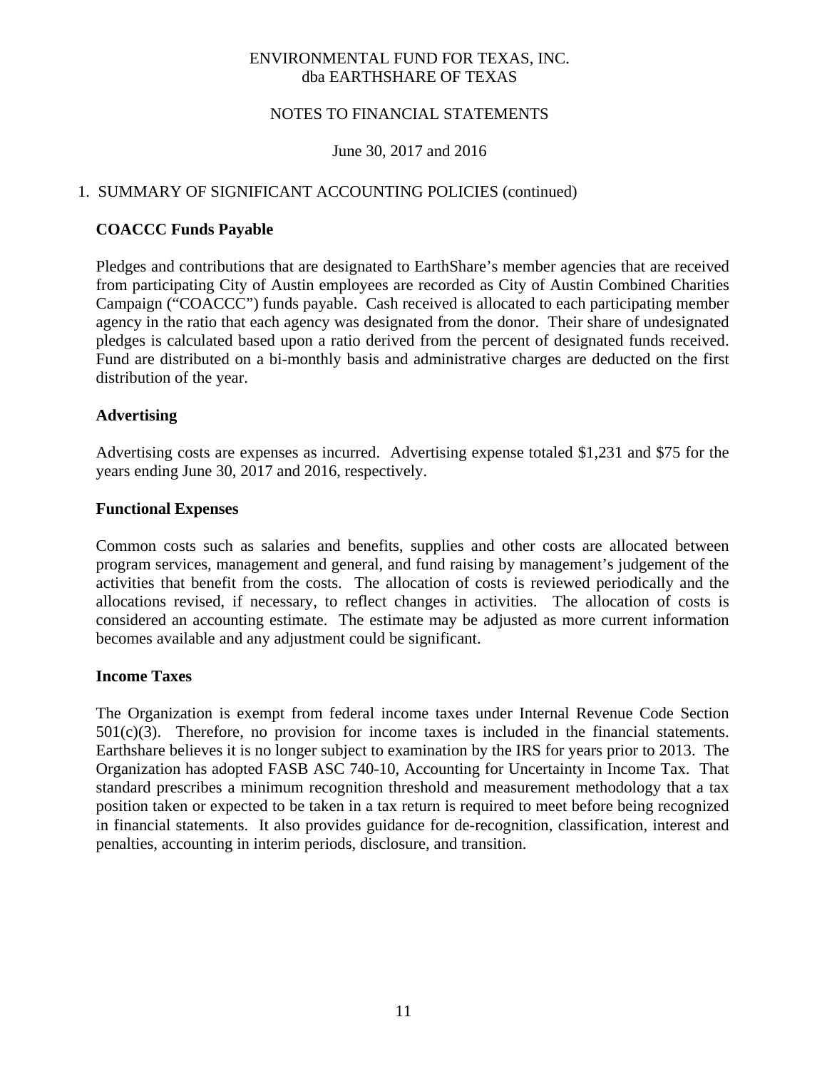#### NOTES TO FINANCIAL STATEMENTS

#### June 30, 2017 and 2016

## 1. SUMMARY OF SIGNIFICANT ACCOUNTING POLICIES (continued)

#### **COACCC Funds Payable**

Pledges and contributions that are designated to EarthShare's member agencies that are received from participating City of Austin employees are recorded as City of Austin Combined Charities Campaign ("COACCC") funds payable. Cash received is allocated to each participating member agency in the ratio that each agency was designated from the donor. Their share of undesignated pledges is calculated based upon a ratio derived from the percent of designated funds received. Fund are distributed on a bi-monthly basis and administrative charges are deducted on the first distribution of the year.

#### **Advertising**

Advertising costs are expenses as incurred. Advertising expense totaled \$1,231 and \$75 for the years ending June 30, 2017 and 2016, respectively.

#### **Functional Expenses**

Common costs such as salaries and benefits, supplies and other costs are allocated between program services, management and general, and fund raising by management's judgement of the activities that benefit from the costs. The allocation of costs is reviewed periodically and the allocations revised, if necessary, to reflect changes in activities. The allocation of costs is considered an accounting estimate. The estimate may be adjusted as more current information becomes available and any adjustment could be significant.

#### **Income Taxes**

The Organization is exempt from federal income taxes under Internal Revenue Code Section  $501(c)(3)$ . Therefore, no provision for income taxes is included in the financial statements. Earthshare believes it is no longer subject to examination by the IRS for years prior to 2013. The Organization has adopted FASB ASC 740-10, Accounting for Uncertainty in Income Tax. That standard prescribes a minimum recognition threshold and measurement methodology that a tax position taken or expected to be taken in a tax return is required to meet before being recognized in financial statements. It also provides guidance for de-recognition, classification, interest and penalties, accounting in interim periods, disclosure, and transition.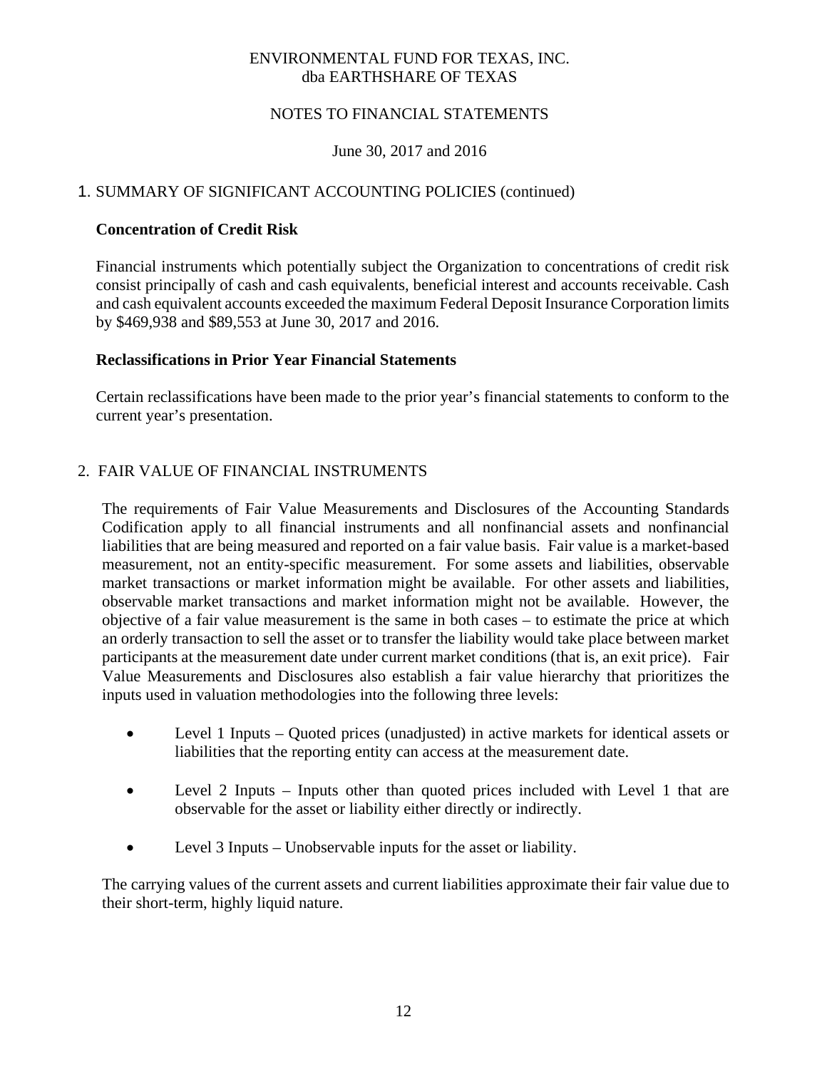## NOTES TO FINANCIAL STATEMENTS

## June 30, 2017 and 2016

## 1. SUMMARY OF SIGNIFICANT ACCOUNTING POLICIES (continued)

#### **Concentration of Credit Risk**

Financial instruments which potentially subject the Organization to concentrations of credit risk consist principally of cash and cash equivalents, beneficial interest and accounts receivable. Cash and cash equivalent accounts exceeded the maximum Federal Deposit Insurance Corporation limits by \$469,938 and \$89,553 at June 30, 2017 and 2016.

#### **Reclassifications in Prior Year Financial Statements**

Certain reclassifications have been made to the prior year's financial statements to conform to the current year's presentation.

#### 2. FAIR VALUE OF FINANCIAL INSTRUMENTS

The requirements of Fair Value Measurements and Disclosures of the Accounting Standards Codification apply to all financial instruments and all nonfinancial assets and nonfinancial liabilities that are being measured and reported on a fair value basis. Fair value is a market-based measurement, not an entity-specific measurement. For some assets and liabilities, observable market transactions or market information might be available. For other assets and liabilities, observable market transactions and market information might not be available. However, the objective of a fair value measurement is the same in both cases – to estimate the price at which an orderly transaction to sell the asset or to transfer the liability would take place between market participants at the measurement date under current market conditions (that is, an exit price). Fair Value Measurements and Disclosures also establish a fair value hierarchy that prioritizes the inputs used in valuation methodologies into the following three levels:

- Level 1 Inputs Quoted prices (unadjusted) in active markets for identical assets or liabilities that the reporting entity can access at the measurement date.
- Level 2 Inputs Inputs other than quoted prices included with Level 1 that are observable for the asset or liability either directly or indirectly.
- Level 3 Inputs Unobservable inputs for the asset or liability.

The carrying values of the current assets and current liabilities approximate their fair value due to their short-term, highly liquid nature.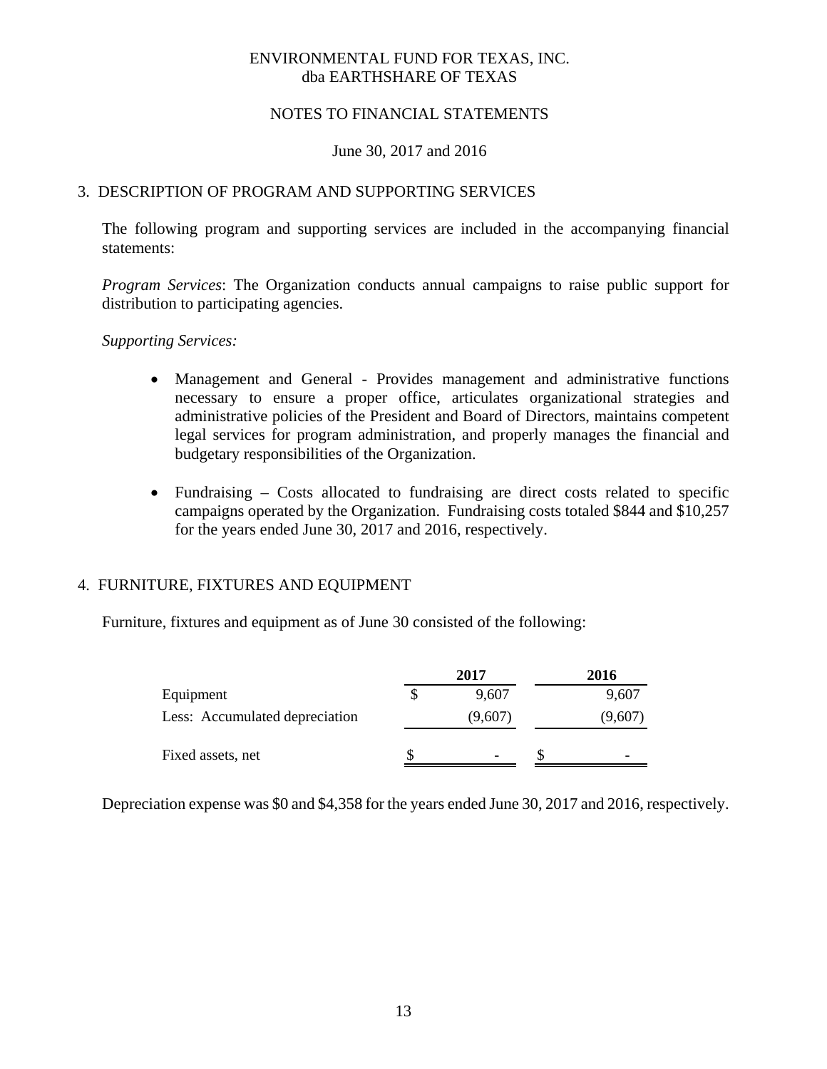#### NOTES TO FINANCIAL STATEMENTS

#### June 30, 2017 and 2016

## 3. DESCRIPTION OF PROGRAM AND SUPPORTING SERVICES

The following program and supporting services are included in the accompanying financial statements:

*Program Services*: The Organization conducts annual campaigns to raise public support for distribution to participating agencies.

#### *Supporting Services:*

- Management and General Provides management and administrative functions necessary to ensure a proper office, articulates organizational strategies and administrative policies of the President and Board of Directors, maintains competent legal services for program administration, and properly manages the financial and budgetary responsibilities of the Organization.
- Fundraising Costs allocated to fundraising are direct costs related to specific campaigns operated by the Organization. Fundraising costs totaled \$844 and \$10,257 for the years ended June 30, 2017 and 2016, respectively.

#### 4. FURNITURE, FIXTURES AND EQUIPMENT

Furniture, fixtures and equipment as of June 30 consisted of the following:

|                                | 2017                     | 2016    |
|--------------------------------|--------------------------|---------|
| Equipment                      | 9.607                    | 9,607   |
| Less: Accumulated depreciation | (9,607)                  | (9,607) |
| Fixed assets, net              | $\overline{\phantom{0}}$ |         |

Depreciation expense was \$0 and \$4,358 for the years ended June 30, 2017 and 2016, respectively.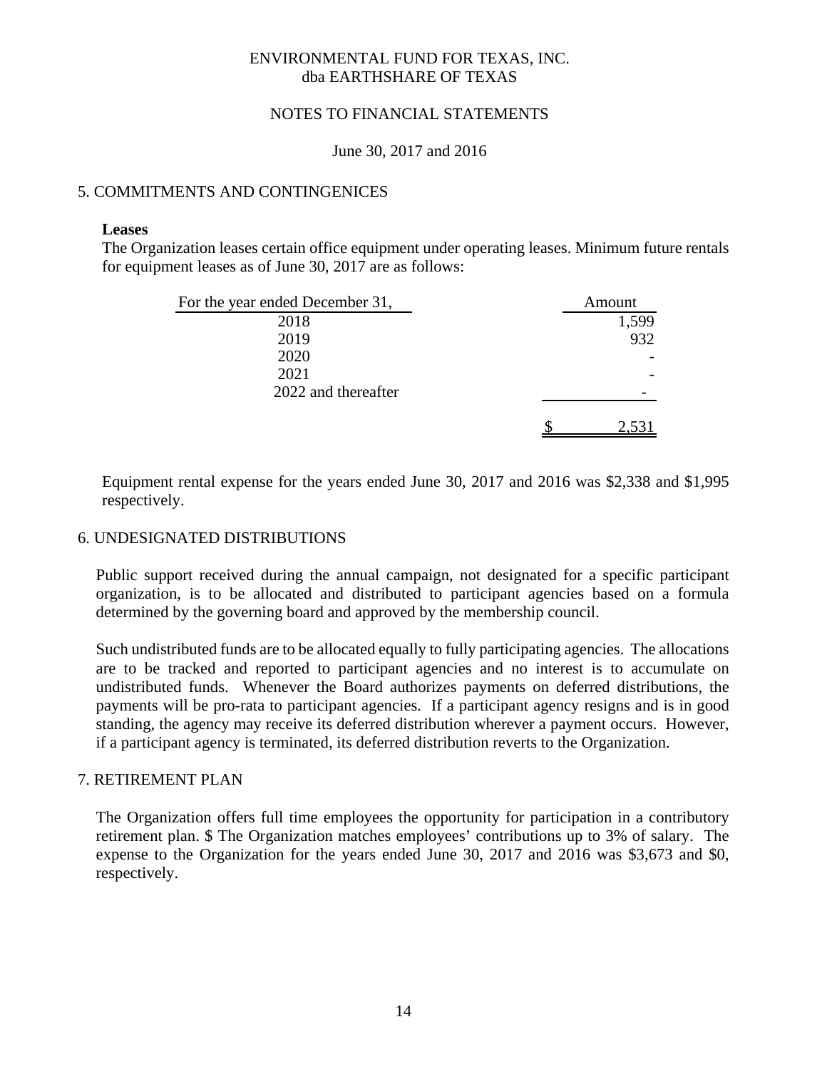#### NOTES TO FINANCIAL STATEMENTS

June 30, 2017 and 2016

## 5. COMMITMENTS AND CONTINGENICES

#### **Leases**

The Organization leases certain office equipment under operating leases. Minimum future rentals for equipment leases as of June 30, 2017 are as follows:

| For the year ended December 31, | Amount |
|---------------------------------|--------|
| 2018                            | 1,599  |
| 2019                            | 932    |
| 2020                            |        |
| 2021                            |        |
| 2022 and thereafter             |        |
|                                 |        |

Equipment rental expense for the years ended June 30, 2017 and 2016 was \$2,338 and \$1,995 respectively.

## 6. UNDESIGNATED DISTRIBUTIONS

Public support received during the annual campaign, not designated for a specific participant organization, is to be allocated and distributed to participant agencies based on a formula determined by the governing board and approved by the membership council.

Such undistributed funds are to be allocated equally to fully participating agencies. The allocations are to be tracked and reported to participant agencies and no interest is to accumulate on undistributed funds. Whenever the Board authorizes payments on deferred distributions, the payments will be pro-rata to participant agencies. If a participant agency resigns and is in good standing, the agency may receive its deferred distribution wherever a payment occurs. However, if a participant agency is terminated, its deferred distribution reverts to the Organization.

#### 7. RETIREMENT PLAN

The Organization offers full time employees the opportunity for participation in a contributory retirement plan. \$ The Organization matches employees' contributions up to 3% of salary. The expense to the Organization for the years ended June 30, 2017 and 2016 was \$3,673 and \$0, respectively.